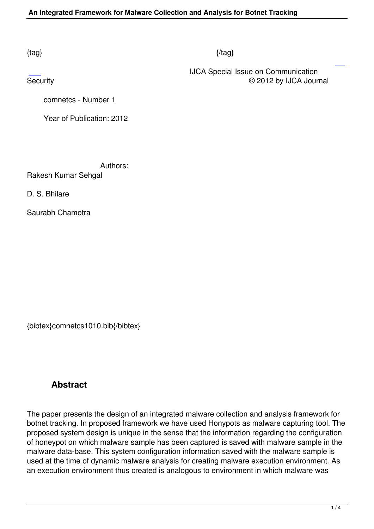## $\{tag\}$

 IJCA Special Issue on Communication Security **Exercise Contract Contract Contract Contract Contract Contract Contract Contract Contract Contract Contract Contract Contract Contract Contract Contract Contract Contract Contract Contract Contract Contract Contr** 

comnetcs - Number 1

Year of Publication: 2012

Authors:

Rakesh Kumar Sehgal

D. S. Bhilare

Saurabh Chamotra

{bibtex}comnetcs1010.bib{/bibtex}

# **Abstract**

The paper presents the design of an integrated malware collection and analysis framework for botnet tracking. In proposed framework we have used Honypots as malware capturing tool. The proposed system design is unique in the sense that the information regarding the configuration of honeypot on which malware sample has been captured is saved with malware sample in the malware data-base. This system configuration information saved with the malware sample is used at the time of dynamic malware analysis for creating malware execution environment. As an execution environment thus created is analogous to environment in which malware was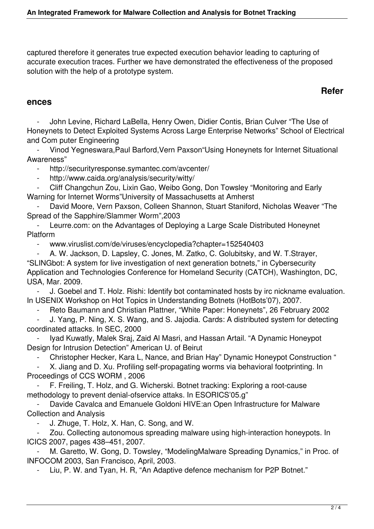captured therefore it generates true expected execution behavior leading to capturing of accurate execution traces. Further we have demonstrated the effectiveness of the proposed solution with the help of a prototype system.

## **Refer**

#### **ences**

 - John Levine, Richard LaBella, Henry Owen, Didier Contis, Brian Culver "The Use of Honeynets to Detect Exploited Systems Across Large Enterprise Networks" School of Electrical and Com puter Engineering

 - Vinod Yegneswara,Paul Barford,Vern Paxson"Using Honeynets for Internet Situational Awareness"

http://securityresponse.symantec.com/avcenter/

- http://www.caida.org/analysis/security/witty/

 - Cliff Changchun Zou, Lixin Gao, Weibo Gong, Don Towsley "Monitoring and Early Warning for Internet Worms"University of Massachusetts at Amherst

David Moore, Vern Paxson, Colleen Shannon, Stuart Staniford, Nicholas Weaver "The Spread of the Sapphire/Slammer Worm",2003

Leurre.com: on the Advantages of Deploying a Large Scale Distributed Honeynet Platform

- www.viruslist.com/de/viruses/encyclopedia?chapter=152540403

 - A. W. Jackson, D. Lapsley, C. Jones, M. Zatko, C. Golubitsky, and W. T.Strayer, "SLINGbot: A system for live investigation of next generation botnets," in Cybersecurity Application and Technologies Conference for Homeland Security (CATCH), Washington, DC, USA, Mar. 2009.

J. Goebel and T. Holz. Rishi: Identify bot contaminated hosts by irc nickname evaluation. In USENIX Workshop on Hot Topics in Understanding Botnets (HotBots'07), 2007.

Reto Baumann and Christian Plattner, "White Paper: Honeynets", 26 February 2002

 - J. Yang, P. Ning, X. S. Wang, and S. Jajodia. Cards: A distributed system for detecting coordinated attacks. In SEC, 2000

Iyad Kuwatly, Malek Sraj, Zaid Al Masri, and Hassan Artail. "A Dynamic Honeypot Design for Intrusion Detection" American U. of Beirut

- Christopher Hecker, Kara L, Nance, and Brian Hay" Dynamic Honeypot Construction "

 - X. Jiang and D. Xu. Profiling self-propagating worms via behavioral footprinting. In Proceedings of CCS WORM , 2006

 - F. Freiling, T. Holz, and G. Wicherski. Botnet tracking: Exploring a root-cause methodology to prevent denial-ofservice attaks. In ESORICS'05.g"

Davide Cavalca and Emanuele Goldoni HIVE: an Open Infrastructure for Malware Collection and Analysis

J. Zhuge, T. Holz, X. Han, C. Song, and W.

Zou. Collecting autonomous spreading malware using high-interaction honeypots. In ICICS 2007, pages 438–451, 2007.

M. Garetto, W. Gong, D. Towsley, "ModelingMalware Spreading Dynamics," in Proc. of INFOCOM 2003, San Francisco, April, 2003.

Liu, P. W. and Tyan, H. R, "An Adaptive defence mechanism for P2P Botnet."